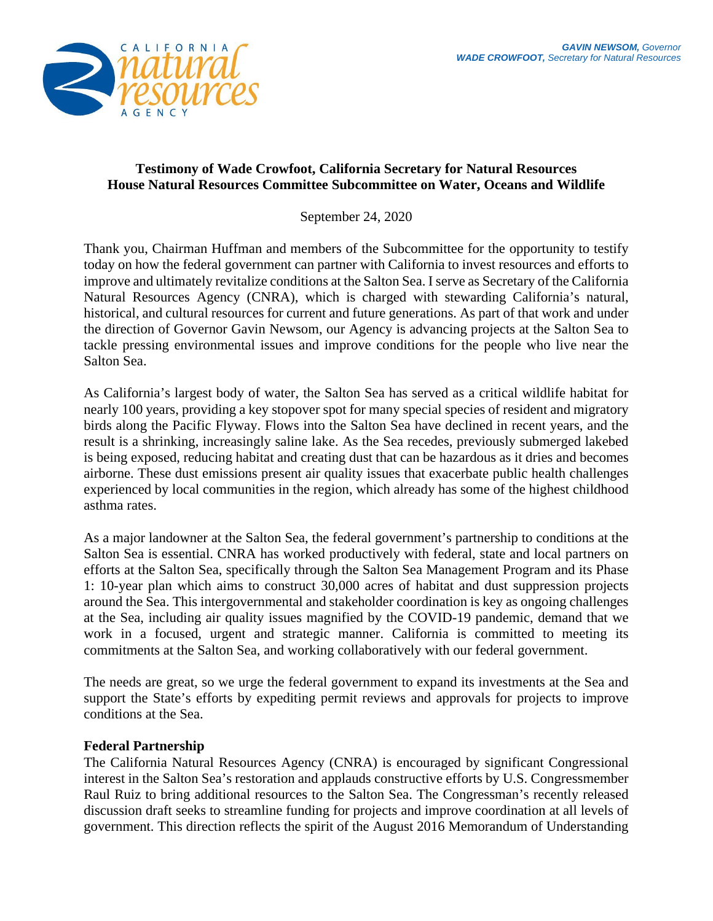

# **Testimony of Wade Crowfoot, California Secretary for Natural Resources House Natural Resources Committee Subcommittee on Water, Oceans and Wildlife**

September 24, 2020

Thank you, Chairman Huffman and members of the Subcommittee for the opportunity to testify today on how the federal government can partner with California to invest resources and efforts to improve and ultimately revitalize conditions at the Salton Sea. I serve as Secretary of the California Natural Resources Agency (CNRA), which is charged with stewarding California's natural, historical, and cultural resources for current and future generations. As part of that work and under the direction of Governor Gavin Newsom, our Agency is advancing projects at the Salton Sea to tackle pressing environmental issues and improve conditions for the people who live near the Salton Sea.

As California's largest body of water, the Salton Sea has served as a critical wildlife habitat for nearly 100 years, providing a key stopover spot for many special species of resident and migratory birds along the Pacific Flyway. Flows into the Salton Sea have declined in recent years, and the result is a shrinking, increasingly saline lake. As the Sea recedes, previously submerged lakebed is being exposed, reducing habitat and creating dust that can be hazardous as it dries and becomes airborne. These dust emissions present air quality issues that exacerbate public health challenges experienced by local communities in the region, which already has some of the highest childhood asthma rates.

As a major landowner at the Salton Sea, the federal government's partnership to conditions at the Salton Sea is essential. CNRA has worked productively with federal, state and local partners on efforts at the Salton Sea, specifically through the Salton Sea Management Program and its Phase 1: 10-year plan which aims to construct 30,000 acres of habitat and dust suppression projects around the Sea. This intergovernmental and stakeholder coordination is key as ongoing challenges at the Sea, including air quality issues magnified by the COVID-19 pandemic, demand that we work in a focused, urgent and strategic manner. California is committed to meeting its commitments at the Salton Sea, and working collaboratively with our federal government.

The needs are great, so we urge the federal government to expand its investments at the Sea and support the State's efforts by expediting permit reviews and approvals for projects to improve conditions at the Sea.

# **Federal Partnership**

The California Natural Resources Agency (CNRA) is encouraged by significant Congressional interest in the Salton Sea's restoration and applauds constructive efforts by U.S. Congressmember Raul Ruiz to bring additional resources to the Salton Sea. The Congressman's recently released discussion draft seeks to streamline funding for projects and improve coordination at all levels of government. This direction reflects the spirit of the August 2016 Memorandum of Understanding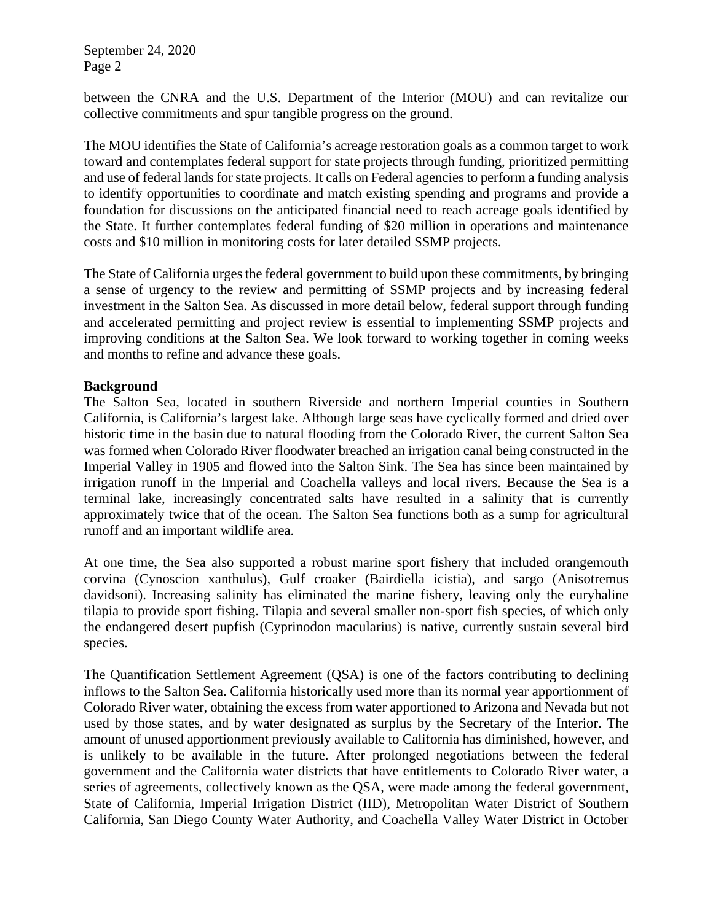between the CNRA and the U.S. Department of the Interior (MOU) and can revitalize our collective commitments and spur tangible progress on the ground.

The MOU identifies the State of California's acreage restoration goals as a common target to work toward and contemplates federal support for state projects through funding, prioritized permitting and use of federal lands for state projects. It calls on Federal agencies to perform a funding analysis to identify opportunities to coordinate and match existing spending and programs and provide a foundation for discussions on the anticipated financial need to reach acreage goals identified by the State. It further contemplates federal funding of \$20 million in operations and maintenance costs and \$10 million in monitoring costs for later detailed SSMP projects.

The State of California urges the federal government to build upon these commitments, by bringing a sense of urgency to the review and permitting of SSMP projects and by increasing federal investment in the Salton Sea. As discussed in more detail below, federal support through funding and accelerated permitting and project review is essential to implementing SSMP projects and improving conditions at the Salton Sea. We look forward to working together in coming weeks and months to refine and advance these goals.

## **Background**

The Salton Sea, located in southern Riverside and northern Imperial counties in Southern California, is California's largest lake. Although large seas have cyclically formed and dried over historic time in the basin due to natural flooding from the Colorado River, the current Salton Sea was formed when Colorado River floodwater breached an irrigation canal being constructed in the Imperial Valley in 1905 and flowed into the Salton Sink. The Sea has since been maintained by irrigation runoff in the Imperial and Coachella valleys and local rivers. Because the Sea is a terminal lake, increasingly concentrated salts have resulted in a salinity that is currently approximately twice that of the ocean. The Salton Sea functions both as a sump for agricultural runoff and an important wildlife area.

At one time, the Sea also supported a robust marine sport fishery that included orangemouth corvina (Cynoscion xanthulus), Gulf croaker (Bairdiella icistia), and sargo (Anisotremus davidsoni). Increasing salinity has eliminated the marine fishery, leaving only the euryhaline tilapia to provide sport fishing. Tilapia and several smaller non-sport fish species, of which only the endangered desert pupfish (Cyprinodon macularius) is native, currently sustain several bird species.

The Quantification Settlement Agreement (QSA) is one of the factors contributing to declining inflows to the Salton Sea. California historically used more than its normal year apportionment of Colorado River water, obtaining the excess from water apportioned to Arizona and Nevada but not used by those states, and by water designated as surplus by the Secretary of the Interior. The amount of unused apportionment previously available to California has diminished, however, and is unlikely to be available in the future. After prolonged negotiations between the federal government and the California water districts that have entitlements to Colorado River water, a series of agreements, collectively known as the QSA, were made among the federal government, State of California, Imperial Irrigation District (IID), Metropolitan Water District of Southern California, San Diego County Water Authority, and Coachella Valley Water District in October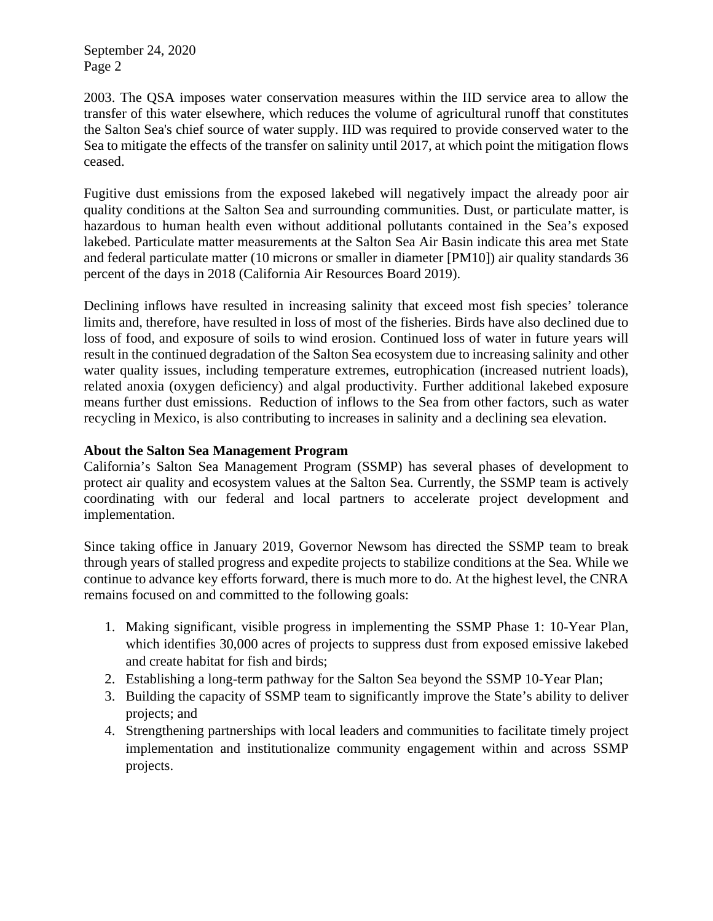2003. The QSA imposes water conservation measures within the IID service area to allow the transfer of this water elsewhere, which reduces the volume of agricultural runoff that constitutes the Salton Sea's chief source of water supply. IID was required to provide conserved water to the Sea to mitigate the effects of the transfer on salinity until 2017, at which point the mitigation flows ceased.

Fugitive dust emissions from the exposed lakebed will negatively impact the already poor air quality conditions at the Salton Sea and surrounding communities. Dust, or particulate matter, is hazardous to human health even without additional pollutants contained in the Sea's exposed lakebed. Particulate matter measurements at the Salton Sea Air Basin indicate this area met State and federal particulate matter (10 microns or smaller in diameter [PM10]) air quality standards 36 percent of the days in 2018 (California Air Resources Board 2019).

Declining inflows have resulted in increasing salinity that exceed most fish species' tolerance limits and, therefore, have resulted in loss of most of the fisheries. Birds have also declined due to loss of food, and exposure of soils to wind erosion. Continued loss of water in future years will result in the continued degradation of the Salton Sea ecosystem due to increasing salinity and other water quality issues, including temperature extremes, eutrophication (increased nutrient loads), related anoxia (oxygen deficiency) and algal productivity. Further additional lakebed exposure means further dust emissions. Reduction of inflows to the Sea from other factors, such as water recycling in Mexico, is also contributing to increases in salinity and a declining sea elevation.

## **About the Salton Sea Management Program**

California's Salton Sea Management Program (SSMP) has several phases of development to protect air quality and ecosystem values at the Salton Sea. Currently, the SSMP team is actively coordinating with our federal and local partners to accelerate project development and implementation.

Since taking office in January 2019, Governor Newsom has directed the SSMP team to break through years of stalled progress and expedite projects to stabilize conditions at the Sea. While we continue to advance key efforts forward, there is much more to do. At the highest level, the CNRA remains focused on and committed to the following goals:

- 1. Making significant, visible progress in implementing the SSMP Phase 1: 10-Year Plan, which identifies 30,000 acres of projects to suppress dust from exposed emissive lakebed and create habitat for fish and birds;
- 2. Establishing a long-term pathway for the Salton Sea beyond the SSMP 10-Year Plan;
- 3. Building the capacity of SSMP team to significantly improve the State's ability to deliver projects; and
- 4. Strengthening partnerships with local leaders and communities to facilitate timely project implementation and institutionalize community engagement within and across SSMP projects.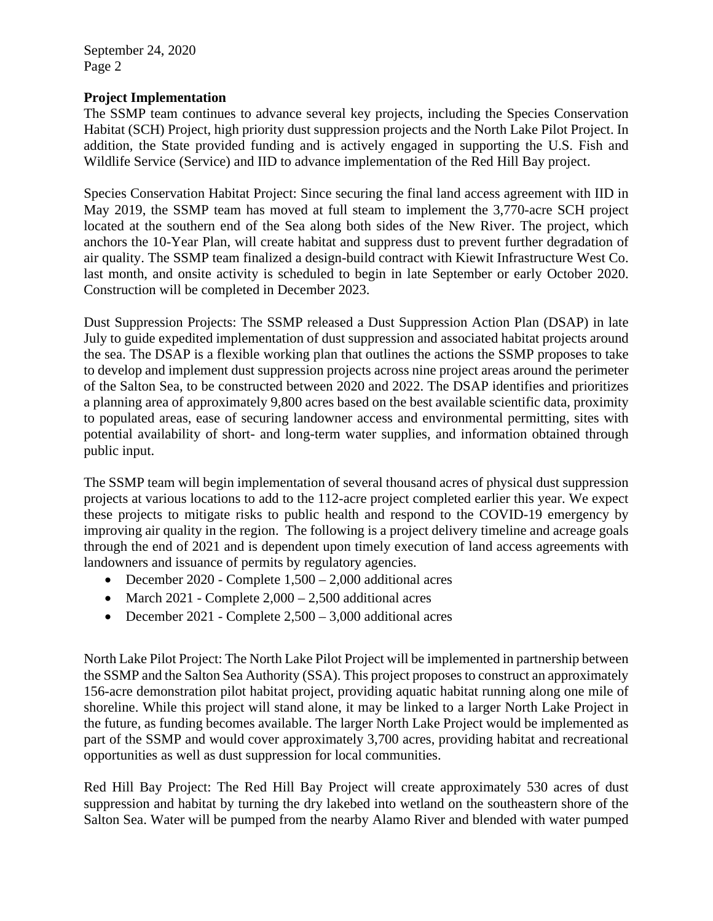### **Project Implementation**

The SSMP team continues to advance several key projects, including the Species Conservation Habitat (SCH) Project, high priority dust suppression projects and the North Lake Pilot Project. In addition, the State provided funding and is actively engaged in supporting the U.S. Fish and Wildlife Service (Service) and IID to advance implementation of the Red Hill Bay project.

Species Conservation Habitat Project: Since securing the final land access agreement with IID in May 2019, the SSMP team has moved at full steam to implement the 3,770-acre SCH project located at the southern end of the Sea along both sides of the New River. The project, which anchors the 10-Year Plan, will create habitat and suppress dust to prevent further degradation of air quality. The SSMP team finalized a design-build contract with Kiewit Infrastructure West Co. last month, and onsite activity is scheduled to begin in late September or early October 2020. Construction will be completed in December 2023.

Dust Suppression Projects: The SSMP released a Dust Suppression Action Plan (DSAP) in late July to guide expedited implementation of dust suppression and associated habitat projects around the sea. The DSAP is a flexible working plan that outlines the actions the SSMP proposes to take to develop and implement dust suppression projects across nine project areas around the perimeter of the Salton Sea, to be constructed between 2020 and 2022. The DSAP identifies and prioritizes a planning area of approximately 9,800 acres based on the best available scientific data, proximity to populated areas, ease of securing landowner access and environmental permitting, sites with potential availability of short- and long-term water supplies, and information obtained through public input.

The SSMP team will begin implementation of several thousand acres of physical dust suppression projects at various locations to add to the 112-acre project completed earlier this year. We expect these projects to mitigate risks to public health and respond to the COVID-19 emergency by improving air quality in the region. The following is a project delivery timeline and acreage goals through the end of 2021 and is dependent upon timely execution of land access agreements with landowners and issuance of permits by regulatory agencies.

- December 2020 Complete 1,500 2,000 additional acres
- March  $2021$  Complete  $2,000 2,500$  additional acres
- December 2021 Complete  $2,500 3,000$  additional acres

North Lake Pilot Project: The North Lake Pilot Project will be implemented in partnership between the SSMP and the Salton Sea Authority (SSA). This project proposes to construct an approximately 156-acre demonstration pilot habitat project, providing aquatic habitat running along one mile of shoreline. While this project will stand alone, it may be linked to a larger North Lake Project in the future, as funding becomes available. The larger North Lake Project would be implemented as part of the SSMP and would cover approximately 3,700 acres, providing habitat and recreational opportunities as well as dust suppression for local communities.

Red Hill Bay Project: The Red Hill Bay Project will create approximately 530 acres of dust suppression and habitat by turning the dry lakebed into wetland on the southeastern shore of the Salton Sea. Water will be pumped from the nearby Alamo River and blended with water pumped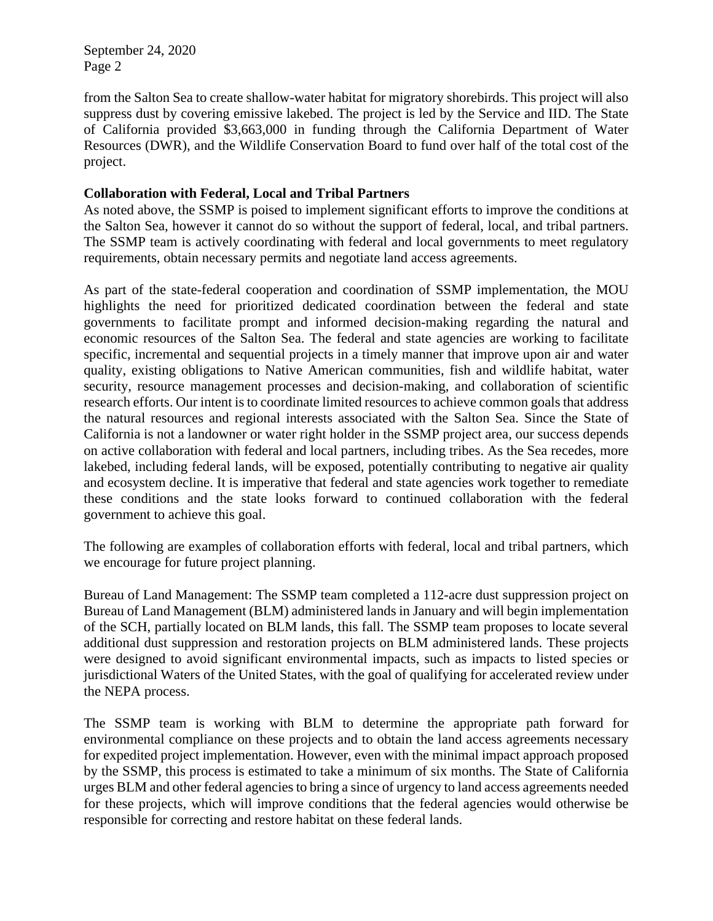from the Salton Sea to create shallow-water habitat for migratory shorebirds. This project will also suppress dust by covering emissive lakebed. The project is led by the Service and IID. The State of California provided \$3,663,000 in funding through the California Department of Water Resources (DWR), and the Wildlife Conservation Board to fund over half of the total cost of the project.

## **Collaboration with Federal, Local and Tribal Partners**

As noted above, the SSMP is poised to implement significant efforts to improve the conditions at the Salton Sea, however it cannot do so without the support of federal, local, and tribal partners. The SSMP team is actively coordinating with federal and local governments to meet regulatory requirements, obtain necessary permits and negotiate land access agreements.

As part of the state-federal cooperation and coordination of SSMP implementation, the MOU highlights the need for prioritized dedicated coordination between the federal and state governments to facilitate prompt and informed decision-making regarding the natural and economic resources of the Salton Sea. The federal and state agencies are working to facilitate specific, incremental and sequential projects in a timely manner that improve upon air and water quality, existing obligations to Native American communities, fish and wildlife habitat, water security, resource management processes and decision-making, and collaboration of scientific research efforts. Our intent is to coordinate limited resources to achieve common goals that address the natural resources and regional interests associated with the Salton Sea. Since the State of California is not a landowner or water right holder in the SSMP project area, our success depends on active collaboration with federal and local partners, including tribes. As the Sea recedes, more lakebed, including federal lands, will be exposed, potentially contributing to negative air quality and ecosystem decline. It is imperative that federal and state agencies work together to remediate these conditions and the state looks forward to continued collaboration with the federal government to achieve this goal.

The following are examples of collaboration efforts with federal, local and tribal partners, which we encourage for future project planning.

Bureau of Land Management: The SSMP team completed a 112-acre dust suppression project on Bureau of Land Management (BLM) administered lands in January and will begin implementation of the SCH, partially located on BLM lands, this fall. The SSMP team proposes to locate several additional dust suppression and restoration projects on BLM administered lands. These projects were designed to avoid significant environmental impacts, such as impacts to listed species or jurisdictional Waters of the United States, with the goal of qualifying for accelerated review under the NEPA process.

The SSMP team is working with BLM to determine the appropriate path forward for environmental compliance on these projects and to obtain the land access agreements necessary for expedited project implementation. However, even with the minimal impact approach proposed by the SSMP, this process is estimated to take a minimum of six months. The State of California urges BLM and other federal agencies to bring a since of urgency to land access agreements needed for these projects, which will improve conditions that the federal agencies would otherwise be responsible for correcting and restore habitat on these federal lands.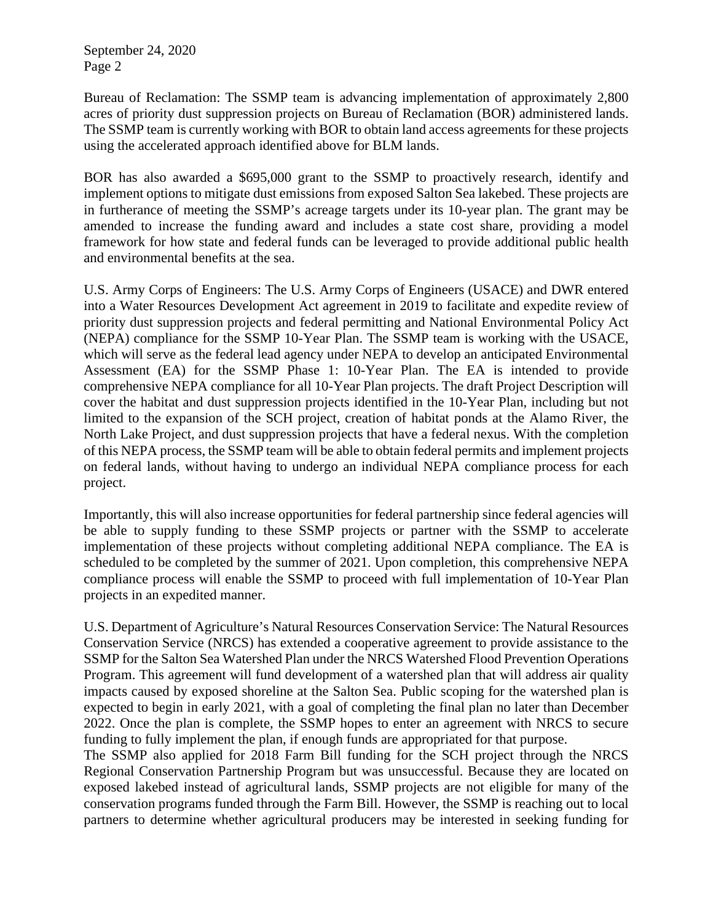Bureau of Reclamation: The SSMP team is advancing implementation of approximately 2,800 acres of priority dust suppression projects on Bureau of Reclamation (BOR) administered lands. The SSMP team is currently working with BOR to obtain land access agreements for these projects using the accelerated approach identified above for BLM lands.

BOR has also awarded a \$695,000 grant to the SSMP to proactively research, identify and implement options to mitigate dust emissions from exposed Salton Sea lakebed. These projects are in furtherance of meeting the SSMP's acreage targets under its 10-year plan. The grant may be amended to increase the funding award and includes a state cost share, providing a model framework for how state and federal funds can be leveraged to provide additional public health and environmental benefits at the sea.

U.S. Army Corps of Engineers: The U.S. Army Corps of Engineers (USACE) and DWR entered into a Water Resources Development Act agreement in 2019 to facilitate and expedite review of priority dust suppression projects and federal permitting and National Environmental Policy Act (NEPA) compliance for the SSMP 10-Year Plan. The SSMP team is working with the USACE, which will serve as the federal lead agency under NEPA to develop an anticipated Environmental Assessment (EA) for the SSMP Phase 1: 10-Year Plan. The EA is intended to provide comprehensive NEPA compliance for all 10-Year Plan projects. The draft Project Description will cover the habitat and dust suppression projects identified in the 10-Year Plan, including but not limited to the expansion of the SCH project, creation of habitat ponds at the Alamo River, the North Lake Project, and dust suppression projects that have a federal nexus. With the completion of this NEPA process, the SSMP team will be able to obtain federal permits and implement projects on federal lands, without having to undergo an individual NEPA compliance process for each project.

Importantly, this will also increase opportunities for federal partnership since federal agencies will be able to supply funding to these SSMP projects or partner with the SSMP to accelerate implementation of these projects without completing additional NEPA compliance. The EA is scheduled to be completed by the summer of 2021. Upon completion, this comprehensive NEPA compliance process will enable the SSMP to proceed with full implementation of 10-Year Plan projects in an expedited manner.

U.S. Department of Agriculture's Natural Resources Conservation Service: The Natural Resources Conservation Service (NRCS) has extended a cooperative agreement to provide assistance to the SSMP for the Salton Sea Watershed Plan under the NRCS Watershed Flood Prevention Operations Program. This agreement will fund development of a watershed plan that will address air quality impacts caused by exposed shoreline at the Salton Sea. Public scoping for the watershed plan is expected to begin in early 2021, with a goal of completing the final plan no later than December 2022. Once the plan is complete, the SSMP hopes to enter an agreement with NRCS to secure funding to fully implement the plan, if enough funds are appropriated for that purpose.

The SSMP also applied for 2018 Farm Bill funding for the SCH project through the NRCS Regional Conservation Partnership Program but was unsuccessful. Because they are located on exposed lakebed instead of agricultural lands, SSMP projects are not eligible for many of the conservation programs funded through the Farm Bill. However, the SSMP is reaching out to local partners to determine whether agricultural producers may be interested in seeking funding for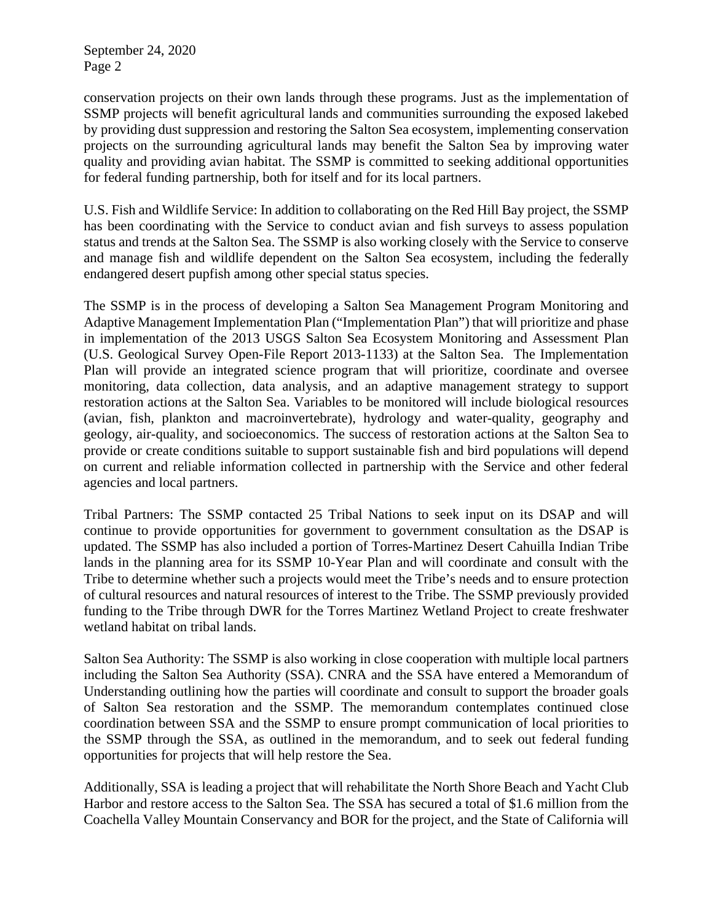conservation projects on their own lands through these programs. Just as the implementation of SSMP projects will benefit agricultural lands and communities surrounding the exposed lakebed by providing dust suppression and restoring the Salton Sea ecosystem, implementing conservation projects on the surrounding agricultural lands may benefit the Salton Sea by improving water quality and providing avian habitat. The SSMP is committed to seeking additional opportunities for federal funding partnership, both for itself and for its local partners.

U.S. Fish and Wildlife Service: In addition to collaborating on the Red Hill Bay project, the SSMP has been coordinating with the Service to conduct avian and fish surveys to assess population status and trends at the Salton Sea. The SSMP is also working closely with the Service to conserve and manage fish and wildlife dependent on the Salton Sea ecosystem, including the federally endangered desert pupfish among other special status species.

The SSMP is in the process of developing a Salton Sea Management Program Monitoring and Adaptive Management Implementation Plan ("Implementation Plan") that will prioritize and phase in implementation of the 2013 USGS Salton Sea Ecosystem Monitoring and Assessment Plan (U.S. Geological Survey Open-File Report 2013-1133) at the Salton Sea. The Implementation Plan will provide an integrated science program that will prioritize, coordinate and oversee monitoring, data collection, data analysis, and an adaptive management strategy to support restoration actions at the Salton Sea. Variables to be monitored will include biological resources (avian, fish, plankton and macroinvertebrate), hydrology and water-quality, geography and geology, air-quality, and socioeconomics. The success of restoration actions at the Salton Sea to provide or create conditions suitable to support sustainable fish and bird populations will depend on current and reliable information collected in partnership with the Service and other federal agencies and local partners.

Tribal Partners: The SSMP contacted 25 Tribal Nations to seek input on its DSAP and will continue to provide opportunities for government to government consultation as the DSAP is updated. The SSMP has also included a portion of Torres-Martinez Desert Cahuilla Indian Tribe lands in the planning area for its SSMP 10-Year Plan and will coordinate and consult with the Tribe to determine whether such a projects would meet the Tribe's needs and to ensure protection of cultural resources and natural resources of interest to the Tribe. The SSMP previously provided funding to the Tribe through DWR for the Torres Martinez Wetland Project to create freshwater wetland habitat on tribal lands.

Salton Sea Authority: The SSMP is also working in close cooperation with multiple local partners including the Salton Sea Authority (SSA). CNRA and the SSA have entered a Memorandum of Understanding outlining how the parties will coordinate and consult to support the broader goals of Salton Sea restoration and the SSMP. The memorandum contemplates continued close coordination between SSA and the SSMP to ensure prompt communication of local priorities to the SSMP through the SSA, as outlined in the memorandum, and to seek out federal funding opportunities for projects that will help restore the Sea.

Additionally, SSA is leading a project that will rehabilitate the North Shore Beach and Yacht Club Harbor and restore access to the Salton Sea. The SSA has secured a total of \$1.6 million from the Coachella Valley Mountain Conservancy and BOR for the project, and the State of California will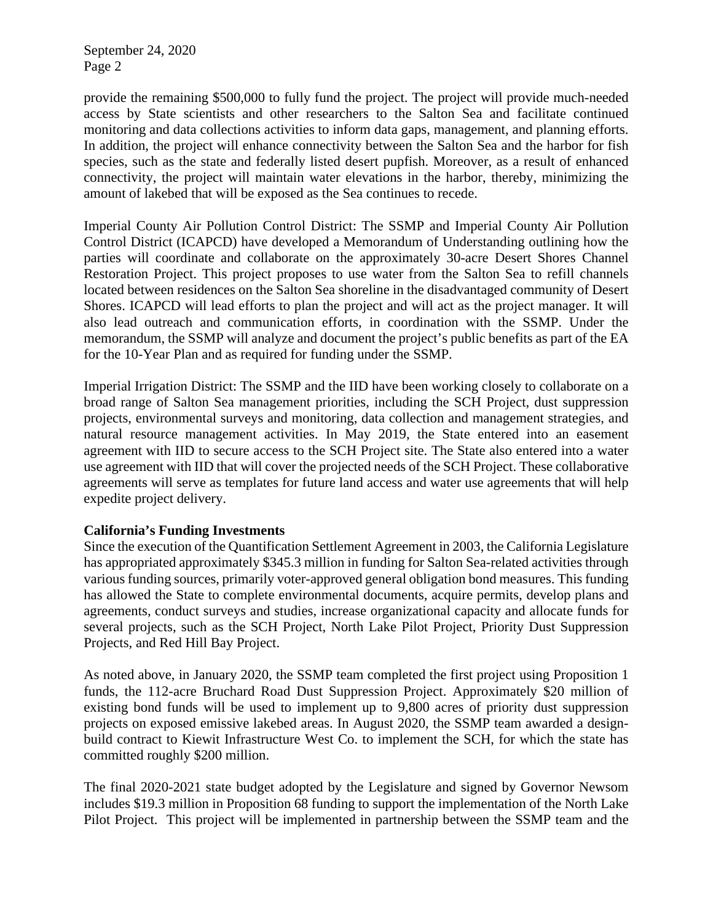provide the remaining \$500,000 to fully fund the project. The project will provide much-needed access by State scientists and other researchers to the Salton Sea and facilitate continued monitoring and data collections activities to inform data gaps, management, and planning efforts. In addition, the project will enhance connectivity between the Salton Sea and the harbor for fish species, such as the state and federally listed desert pupfish. Moreover, as a result of enhanced connectivity, the project will maintain water elevations in the harbor, thereby, minimizing the amount of lakebed that will be exposed as the Sea continues to recede.

Imperial County Air Pollution Control District: The SSMP and Imperial County Air Pollution Control District (ICAPCD) have developed a Memorandum of Understanding outlining how the parties will coordinate and collaborate on the approximately 30-acre Desert Shores Channel Restoration Project. This project proposes to use water from the Salton Sea to refill channels located between residences on the Salton Sea shoreline in the disadvantaged community of Desert Shores. ICAPCD will lead efforts to plan the project and will act as the project manager. It will also lead outreach and communication efforts, in coordination with the SSMP. Under the memorandum, the SSMP will analyze and document the project's public benefits as part of the EA for the 10-Year Plan and as required for funding under the SSMP.

Imperial Irrigation District: The SSMP and the IID have been working closely to collaborate on a broad range of Salton Sea management priorities, including the SCH Project, dust suppression projects, environmental surveys and monitoring, data collection and management strategies, and natural resource management activities. In May 2019, the State entered into an easement agreement with IID to secure access to the SCH Project site. The State also entered into a water use agreement with IID that will cover the projected needs of the SCH Project. These collaborative agreements will serve as templates for future land access and water use agreements that will help expedite project delivery.

#### **California's Funding Investments**

Since the execution of the Quantification Settlement Agreement in 2003, the California Legislature has appropriated approximately \$345.3 million in funding for Salton Sea-related activities through various funding sources, primarily voter-approved general obligation bond measures. This funding has allowed the State to complete environmental documents, acquire permits, develop plans and agreements, conduct surveys and studies, increase organizational capacity and allocate funds for several projects, such as the SCH Project, North Lake Pilot Project, Priority Dust Suppression Projects, and Red Hill Bay Project.

As noted above, in January 2020, the SSMP team completed the first project using Proposition 1 funds, the 112-acre Bruchard Road Dust Suppression Project. Approximately \$20 million of existing bond funds will be used to implement up to 9,800 acres of priority dust suppression projects on exposed emissive lakebed areas. In August 2020, the SSMP team awarded a designbuild contract to Kiewit Infrastructure West Co. to implement the SCH, for which the state has committed roughly \$200 million.

The final 2020-2021 state budget adopted by the Legislature and signed by Governor Newsom includes \$19.3 million in Proposition 68 funding to support the implementation of the North Lake Pilot Project. This project will be implemented in partnership between the SSMP team and the